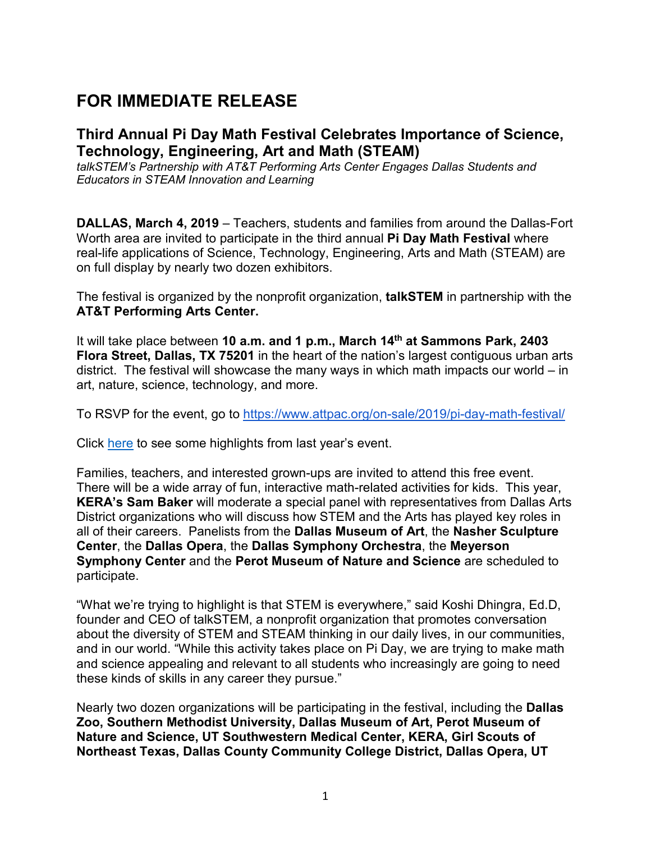# **FOR IMMEDIATE RELEASE**

# **Third Annual Pi Day Math Festival Celebrates Importance of Science, Technology, Engineering, Art and Math (STEAM)**

*talkSTEM's Partnership with AT&T Performing Arts Center Engages Dallas Students and Educators in STEAM Innovation and Learning*

**DALLAS, March 4, 2019** – Teachers, students and families from around the Dallas-Fort Worth area are invited to participate in the third annual **Pi Day Math Festival** where real-life applications of Science, Technology, Engineering, Arts and Math (STEAM) are on full display by nearly two dozen exhibitors.

The festival is organized by the nonprofit organization, **talkSTEM** in partnership with the **AT&T Performing Arts Center.** 

It will take place between **10 a.m. and 1 p.m., March 14th at Sammons Park, 2403 Flora Street, Dallas, TX 75201** in the heart of the nation's largest contiguous urban arts district. The festival will showcase the many ways in which math impacts our world – in art, nature, science, technology, and more.

To RSVP for the event, go to<https://www.attpac.org/on-sale/2019/pi-day-math-festival/>

Click [here](https://www.youtube.com/watch?time_continue=103&v=u7tPZxqKYM8) to see some highlights from last year's event.

Families, teachers, and interested grown-ups are invited to attend this free event. There will be a wide array of fun, interactive math-related activities for kids. This year, **KERA's Sam Baker** will moderate a special panel with representatives from Dallas Arts District organizations who will discuss how STEM and the Arts has played key roles in all of their careers. Panelists from the **Dallas Museum of Art**, the **Nasher Sculpture Center**, the **Dallas Opera**, the **Dallas Symphony Orchestra**, the **Meyerson Symphony Center** and the **Perot Museum of Nature and Science** are scheduled to participate.

"What we're trying to highlight is that STEM is everywhere," said Koshi Dhingra, Ed.D, founder and CEO of talkSTEM, a nonprofit organization that promotes conversation about the diversity of STEM and STEAM thinking in our daily lives, in our communities, and in our world. "While this activity takes place on Pi Day, we are trying to make math and science appealing and relevant to all students who increasingly are going to need these kinds of skills in any career they pursue."

Nearly two dozen organizations will be participating in the festival, including the **Dallas Zoo, Southern Methodist University, Dallas Museum of Art, Perot Museum of Nature and Science, UT Southwestern Medical Center, KERA, Girl Scouts of Northeast Texas, Dallas County Community College District, Dallas Opera, UT**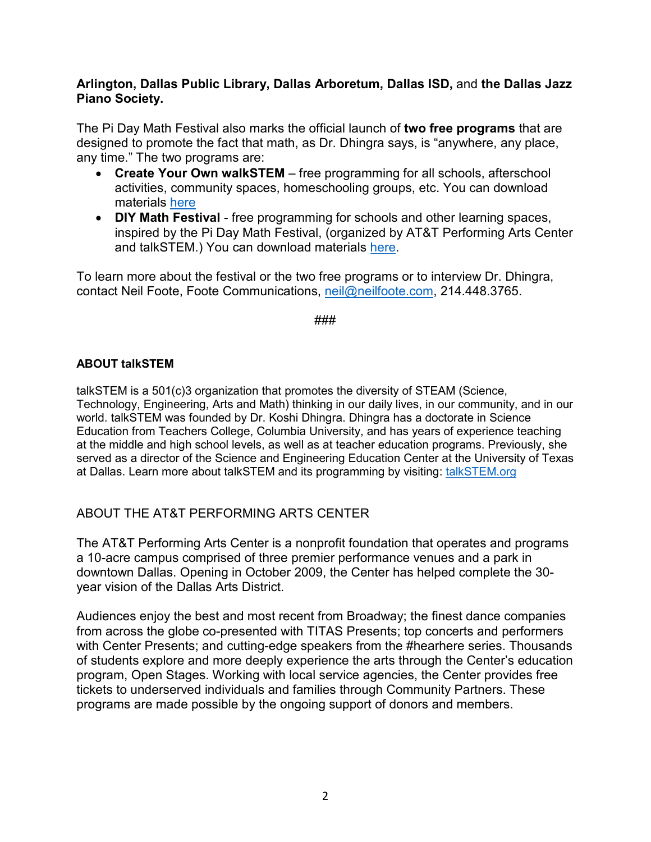# **Arlington, Dallas Public Library, Dallas Arboretum, Dallas ISD,** and **the Dallas Jazz Piano Society.**

The Pi Day Math Festival also marks the official launch of **two free programs** that are designed to promote the fact that math, as Dr. Dhingra says, is "anywhere, any place, any time." The two programs are:

- **Create Your Own walkSTEM** free programming for all schools, afterschool activities, community spaces, homeschooling groups, etc. You can download materials [here](http://talkstem.org/create-your-own-walkstem/)
- **DIY Math Festival** free programming for schools and other learning spaces, inspired by the Pi Day Math Festival, (organized by AT&T Performing Arts Center and talkSTEM.) You can download materials [here.](http://talkstem.org/diy-festival/)

To learn more about the festival or the two free programs or to interview Dr. Dhingra, contact Neil Foote, Foote Communications, [neil@neilfoote.com,](mailto:neil@neilfoote.com) 214.448.3765.

#### ###

### **ABOUT talkSTEM**

talkSTEM is a 501(c)3 organization that promotes the diversity of STEAM (Science, Technology, Engineering, Arts and Math) thinking in our daily lives, in our community, and in our world. talkSTEM was founded by Dr. Koshi Dhingra. Dhingra has a doctorate in Science Education from Teachers College, Columbia University, and has years of experience teaching at the middle and high school levels, as well as at teacher education programs. Previously, she served as a director of the Science and Engineering Education Center at the University of Texas at Dallas. Learn more about talkSTEM and its programming by visiting: [talkSTEM.org](http://www.talkstem.org/)

# ABOUT THE AT&T PERFORMING ARTS CENTER

The AT&T Performing Arts Center is a nonprofit foundation that operates and programs a 10-acre campus comprised of three premier performance venues and a park in downtown Dallas. Opening in October 2009, the Center has helped complete the 30 year vision of the Dallas Arts District.

Audiences enjoy the best and most recent from Broadway; the finest dance companies from across the globe co-presented with TITAS Presents; top concerts and performers with Center Presents; and cutting-edge speakers from the #hearhere series. Thousands of students explore and more deeply experience the arts through the Center's education program, Open Stages. Working with local service agencies, the Center provides free tickets to underserved individuals and families through Community Partners. These programs are made possible by the ongoing support of donors and members.